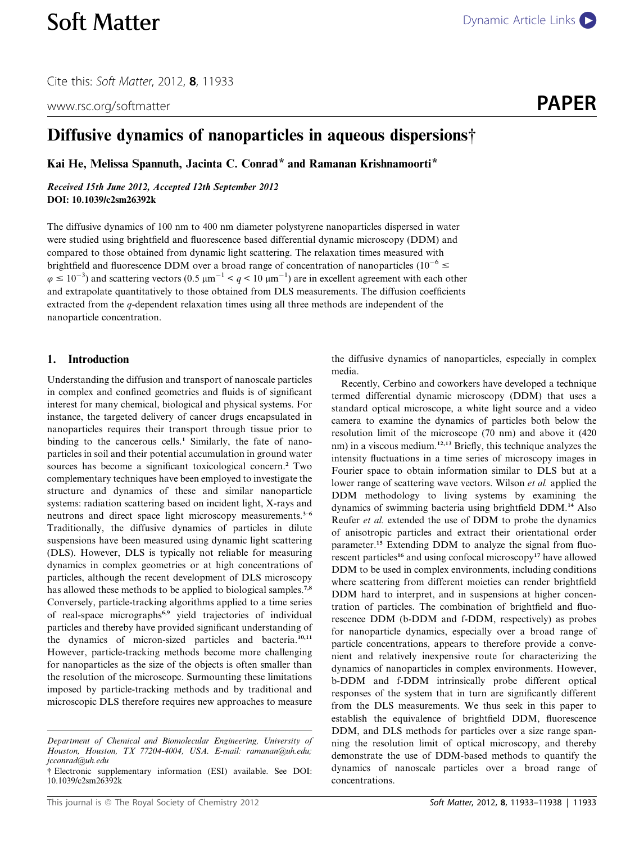Cite this: Soft Matter, 2012, 8, 11933

www.rsc.org/softmatter **PAPER** 

# Diffusive dynamics of nanoparticles in aqueous dispersions†

Kai He, Melissa Spannuth, Jacinta C. Conrad\* and Ramanan Krishnamoorti\*

Received 15th June 2012, Accepted 12th September 2012 DOI: 10.1039/c2sm26392k

The diffusive dynamics of 100 nm to 400 nm diameter polystyrene nanoparticles dispersed in water were studied using brightfield and fluorescence based differential dynamic microscopy (DDM) and compared to those obtained from dynamic light scattering. The relaxation times measured with brightfield and fluorescence DDM over a broad range of concentration of nanoparticles ( $10^{-6}$   $\leq$  $\varphi \le 10^{-3}$ ) and scattering vectors (0.5  $\mu$ m<sup>-1</sup> <  $q$  < 10  $\mu$ m<sup>-1</sup>) are in excellent agreement with each other and extrapolate quantitatively to those obtained from DLS measurements. The diffusion coefficients extracted from the q-dependent relaxation times using all three methods are independent of the nanoparticle concentration.

# 1. Introduction

Understanding the diffusion and transport of nanoscale particles in complex and confined geometries and fluids is of significant interest for many chemical, biological and physical systems. For instance, the targeted delivery of cancer drugs encapsulated in nanoparticles requires their transport through tissue prior to binding to the cancerous cells.<sup>1</sup> Similarly, the fate of nanoparticles in soil and their potential accumulation in ground water sources has become a significant toxicological concern.<sup>2</sup> Two complementary techniques have been employed to investigate the structure and dynamics of these and similar nanoparticle systems: radiation scattering based on incident light, X-rays and neutrons and direct space light microscopy measurements.<sup>3-6</sup> Traditionally, the diffusive dynamics of particles in dilute suspensions have been measured using dynamic light scattering (DLS). However, DLS is typically not reliable for measuring dynamics in complex geometries or at high concentrations of particles, although the recent development of DLS microscopy has allowed these methods to be applied to biological samples.<sup>7,8</sup> Conversely, particle-tracking algorithms applied to a time series of real-space micrographs6,9 yield trajectories of individual particles and thereby have provided significant understanding of the dynamics of micron-sized particles and bacteria.<sup>10,11</sup> However, particle-tracking methods become more challenging for nanoparticles as the size of the objects is often smaller than the resolution of the microscope. Surmounting these limitations imposed by particle-tracking methods and by traditional and microscopic DLS therefore requires new approaches to measure

the diffusive dynamics of nanoparticles, especially in complex media.

Recently, Cerbino and coworkers have developed a technique termed differential dynamic microscopy (DDM) that uses a standard optical microscope, a white light source and a video camera to examine the dynamics of particles both below the resolution limit of the microscope (70 nm) and above it (420 nm) in a viscous medium.<sup>12,13</sup> Briefly, this technique analyzes the intensity fluctuations in a time series of microscopy images in Fourier space to obtain information similar to DLS but at a lower range of scattering wave vectors. Wilson et al. applied the DDM methodology to living systems by examining the dynamics of swimming bacteria using brightfield DDM.<sup>14</sup> Also Reufer et al. extended the use of DDM to probe the dynamics of anisotropic particles and extract their orientational order parameter.<sup>15</sup> Extending DDM to analyze the signal from fluorescent particles<sup>16</sup> and using confocal microscopy<sup>17</sup> have allowed DDM to be used in complex environments, including conditions where scattering from different moieties can render brightfield DDM hard to interpret, and in suspensions at higher concentration of particles. The combination of brightfield and fluorescence DDM (b-DDM and f-DDM, respectively) as probes for nanoparticle dynamics, especially over a broad range of particle concentrations, appears to therefore provide a convenient and relatively inexpensive route for characterizing the dynamics of nanoparticles in complex environments. However, b-DDM and f-DDM intrinsically probe different optical responses of the system that in turn are significantly different from the DLS measurements. We thus seek in this paper to establish the equivalence of brightfield DDM, fluorescence DDM, and DLS methods for particles over a size range spanning the resolution limit of optical microscopy, and thereby demonstrate the use of DDM-based methods to quantify the dynamics of nanoscale particles over a broad range of concentrations.

Department of Chemical and Biomolecular Engineering, University of Houston, Houston, TX 77204-4004, USA. E-mail: ramanan@uh.edu; jcconrad@uh.edu

<sup>†</sup> Electronic supplementary information (ESI) available. See DOI: 10.1039/c2sm26392k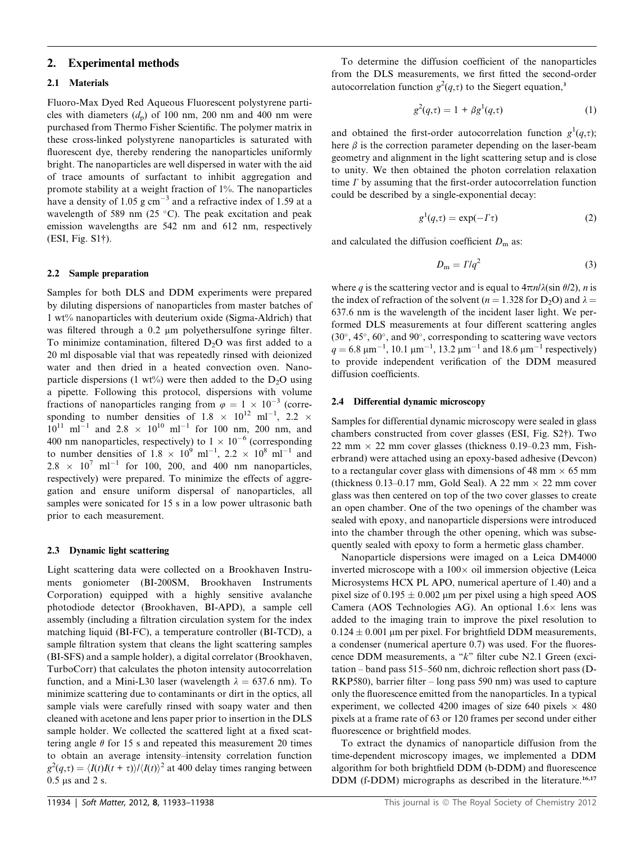#### 2. Experimental methods

#### 2.1 Materials

Fluoro-Max Dyed Red Aqueous Fluorescent polystyrene particles with diameters  $(d_p)$  of 100 nm, 200 nm and 400 nm were purchased from Thermo Fisher Scientific. The polymer matrix in these cross-linked polystyrene nanoparticles is saturated with fluorescent dye, thereby rendering the nanoparticles uniformly bright. The nanoparticles are well dispersed in water with the aid of trace amounts of surfactant to inhibit aggregation and promote stability at a weight fraction of 1%. The nanoparticles have a density of 1.05  $\text{g cm}^{-3}$  and a refractive index of 1.59 at a wavelength of 589 nm (25 $^{\circ}$ C). The peak excitation and peak emission wavelengths are 542 nm and 612 nm, respectively (ESI, Fig. S1†).

#### 2.2 Sample preparation

Samples for both DLS and DDM experiments were prepared by diluting dispersions of nanoparticles from master batches of 1 wt% nanoparticles with deuterium oxide (Sigma-Aldrich) that was filtered through a 0.2 µm polyethersulfone syringe filter. To minimize contamination, filtered  $D<sub>2</sub>O$  was first added to a 20 ml disposable vial that was repeatedly rinsed with deionized water and then dried in a heated convection oven. Nanoparticle dispersions (1 wt%) were then added to the  $D_2O$  using a pipette. Following this protocol, dispersions with volume fractions of nanoparticles ranging from  $\varphi = 1 \times 10^{-3}$  (corresponding to number densities of  $1.8 \times 10^{12}$  ml<sup>-1</sup>, 2.2  $\times$  $10^{11}$  ml<sup>-1</sup> and 2.8  $\times$  10<sup>10</sup> ml<sup>-1</sup> for 100 nm, 200 nm, and 400 nm nanoparticles, respectively) to  $1 \times 10^{-6}$  (corresponding to number densities of  $1.8 \times 10^9$  ml<sup>-1</sup>,  $2.2 \times 10^8$  ml<sup>-1</sup> and  $2.8 \times 10^7$  ml<sup>-1</sup> for 100, 200, and 400 nm nanoparticles, respectively) were prepared. To minimize the effects of aggregation and ensure uniform dispersal of nanoparticles, all samples were sonicated for 15 s in a low power ultrasonic bath prior to each measurement.

#### 2.3 Dynamic light scattering

Light scattering data were collected on a Brookhaven Instruments goniometer (BI-200SM, Brookhaven Instruments Corporation) equipped with a highly sensitive avalanche photodiode detector (Brookhaven, BI-APD), a sample cell assembly (including a filtration circulation system for the index matching liquid (BI-FC), a temperature controller (BI-TCD), a sample filtration system that cleans the light scattering samples (BI-SFS) and a sample holder), a digital correlator (Brookhaven, TurboCorr) that calculates the photon intensity autocorrelation function, and a Mini-L30 laser (wavelength  $\lambda = 637.6$  nm). To minimize scattering due to contaminants or dirt in the optics, all sample vials were carefully rinsed with soapy water and then cleaned with acetone and lens paper prior to insertion in the DLS sample holder. We collected the scattered light at a fixed scattering angle  $\theta$  for 15 s and repeated this measurement 20 times to obtain an average intensity–intensity correlation function  $g^2(q,\tau) = \langle I(t)I(t + \tau)\rangle/\langle I(t)\rangle^2$  at 400 delay times ranging between  $0.5$  µs and 2 s.

To determine the diffusion coefficient of the nanoparticles from the DLS measurements, we first fitted the second-order autocorrelation function  $g^2(q,\tau)$  to the Siegert equation,<sup>3</sup>

$$
g^{2}(q,\tau) = 1 + \beta g^{1}(q,\tau)
$$
 (1)

and obtained the first-order autocorrelation function  $g^1(q,\tau)$ ; here  $\beta$  is the correction parameter depending on the laser-beam geometry and alignment in the light scattering setup and is close to unity. We then obtained the photon correlation relaxation time  $\Gamma$  by assuming that the first-order autocorrelation function could be described by a single-exponential decay:

$$
g^{1}(q,\tau) = \exp(-\Gamma \tau)
$$
 (2)

and calculated the diffusion coefficient  $D<sub>m</sub>$  as:

$$
D_{\rm m} = \Gamma / q^2 \tag{3}
$$

where q is the scattering vector and is equal to  $4\pi n/\lambda(\sin \theta/2)$ , n is the index of refraction of the solvent ( $n = 1.328$  for D<sub>2</sub>O) and  $\lambda =$ 637.6 nm is the wavelength of the incident laser light. We performed DLS measurements at four different scattering angles  $(30^{\circ}, 45^{\circ}, 60^{\circ}, \text{ and } 90^{\circ}, \text{ corresponding to scattering wave vectors})$  $q = 6.8 \text{ }\mu\text{m}^{-1}$ , 10.1  $\mu\text{m}^{-1}$ , 13.2  $\mu\text{m}^{-1}$  and 18.6  $\mu\text{m}^{-1}$  respectively) to provide independent verification of the DDM measured diffusion coefficients.

#### 2.4 Differential dynamic microscopy

Samples for differential dynamic microscopy were sealed in glass chambers constructed from cover glasses (ESI, Fig. S2†). Two 22 mm  $\times$  22 mm cover glasses (thickness 0.19–0.23 mm, Fisherbrand) were attached using an epoxy-based adhesive (Devcon) to a rectangular cover glass with dimensions of 48 mm  $\times$  65 mm (thickness 0.13–0.17 mm, Gold Seal). A 22 mm  $\times$  22 mm cover glass was then centered on top of the two cover glasses to create an open chamber. One of the two openings of the chamber was sealed with epoxy, and nanoparticle dispersions were introduced into the chamber through the other opening, which was subsequently sealed with epoxy to form a hermetic glass chamber.

Nanoparticle dispersions were imaged on a Leica DM4000 inverted microscope with a  $100 \times$  oil immersion objective (Leica Microsystems HCX PL APO, numerical aperture of 1.40) and a pixel size of  $0.195 \pm 0.002$  µm per pixel using a high speed AOS Camera (AOS Technologies AG). An optional  $1.6\times$  lens was added to the imaging train to improve the pixel resolution to  $0.124 \pm 0.001$  µm per pixel. For brightfield DDM measurements, a condenser (numerical aperture 0.7) was used. For the fluorescence DDM measurements, a "k" filter cube N2.1 Green (excitation – band pass 515–560 nm, dichroic reflection short pass (D-RKP580), barrier filter – long pass 590 nm) was used to capture only the fluorescence emitted from the nanoparticles. In a typical experiment, we collected 4200 images of size 640 pixels  $\times$  480 pixels at a frame rate of 63 or 120 frames per second under either fluorescence or brightfield modes.

To extract the dynamics of nanoparticle diffusion from the time-dependent microscopy images, we implemented a DDM algorithm for both brightfield DDM (b-DDM) and fluorescence DDM (f-DDM) micrographs as described in the literature.<sup>16,17</sup>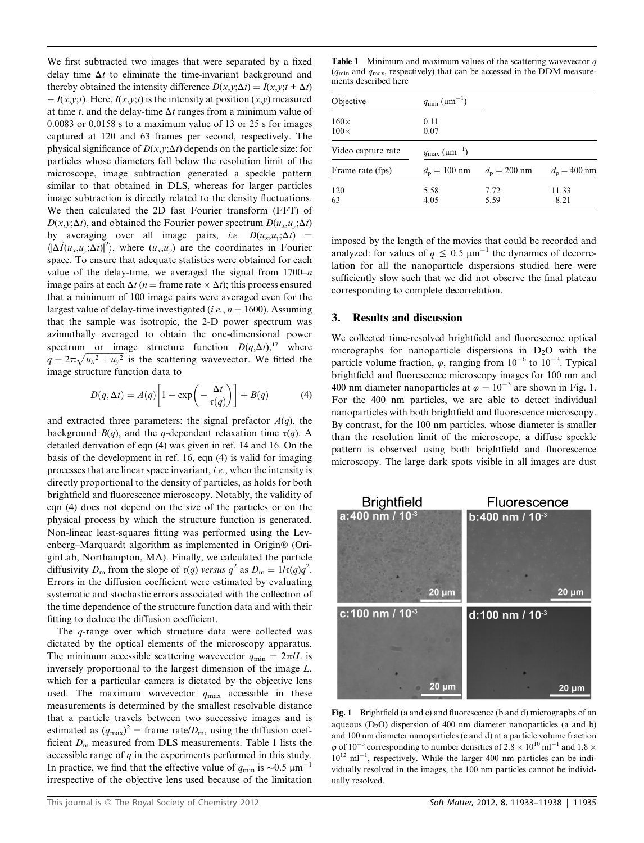We first subtracted two images that were separated by a fixed delay time  $\Delta t$  to eliminate the time-invariant background and thereby obtained the intensity difference  $D(x, y; \Delta t) = I(x, y; t + \Delta t)$  $I(X, y; t)$ . Here,  $I(x, y; t)$  is the intensity at position  $(x, y)$  measured at time t, and the delay-time  $\Delta t$  ranges from a minimum value of 0.0083 or 0.0158 s to a maximum value of 13 or 25 s for images captured at 120 and 63 frames per second, respectively. The physical significance of  $D(x, y; \Delta t)$  depends on the particle size: for particles whose diameters fall below the resolution limit of the microscope, image subtraction generated a speckle pattern similar to that obtained in DLS, whereas for larger particles image subtraction is directly related to the density fluctuations. We then calculated the 2D fast Fourier transform (FFT) of  $D(x, y; \Delta t)$ , and obtained the Fourier power spectrum  $D(u_x, u_y; \Delta t)$ by averaging over all image pairs, *i.e.*  $D(u_x, u_y; \Delta t) =$  $\langle |\Delta \hat{I}(u_x, u_y; \Delta t)|^2 \rangle$ , where  $(u_x, u_y)$  are the coordinates in Fourier space. To ensure that adequate statistics were obtained for each value of the delay-time, we averaged the signal from  $1700-n$ image pairs at each  $\Delta t$  (*n* = frame rate  $\times \Delta t$ ); this process ensured that a minimum of 100 image pairs were averaged even for the largest value of delay-time investigated (*i.e.*,  $n = 1600$ ). Assuming that the sample was isotropic, the 2-D power spectrum was azimuthally averaged to obtain the one-dimensional power spectrum or image structure function  $D(q,\Delta t)$ ,<sup>17</sup> where  $q = 2\pi \sqrt{u_x^2 + u_y^2}$  is the scattering wavevector. We fitted the image structure function data to

$$
D(q, \Delta t) = A(q) \left[ 1 - \exp\left( -\frac{\Delta t}{\tau(q)} \right) \right] + B(q) \tag{4}
$$

and extracted three parameters: the signal prefactor  $A(q)$ , the background  $B(q)$ , and the q-dependent relaxation time  $\tau(q)$ . A detailed derivation of eqn (4) was given in ref. 14 and 16. On the basis of the development in ref. 16, eqn (4) is valid for imaging processes that are linear space invariant, i.e., when the intensity is directly proportional to the density of particles, as holds for both brightfield and fluorescence microscopy. Notably, the validity of eqn (4) does not depend on the size of the particles or on the physical process by which the structure function is generated. Non-linear least-squares fitting was performed using the Levenberg–Marquardt algorithm as implemented in Origin $\otimes$  (OriginLab, Northampton, MA). Finally, we calculated the particle diffusivity  $D_m$  from the slope of  $\tau(q)$  versus  $q^2$  as  $D_m = 1/\tau(q)q^2$ . Errors in the diffusion coefficient were estimated by evaluating systematic and stochastic errors associated with the collection of the time dependence of the structure function data and with their fitting to deduce the diffusion coefficient.

The q-range over which structure data were collected was dictated by the optical elements of the microscopy apparatus. The minimum accessible scattering wavevector  $q_{\text{min}} = 2\pi/L$  is inversely proportional to the largest dimension of the image L, which for a particular camera is dictated by the objective lens used. The maximum wavevector  $q_{\text{max}}$  accessible in these measurements is determined by the smallest resolvable distance that a particle travels between two successive images and is estimated as  $(q_{\text{max}})^2$  = frame rate/ $D_{\text{m}}$ , using the diffusion coefficient  $D_m$  measured from DLS measurements. Table 1 lists the accessible range of  $q$  in the experiments performed in this study. In practice, we find that the effective value of  $q_{\text{min}}$  is  $\sim 0.5 \text{ }\mu\text{m}^{-1}$ irrespective of the objective lens used because of the limitation

**Table 1** Minimum and maximum values of the scattering wavevector  $q$  $(q_{\min}$  and  $q_{\max}$ , respectively) that can be accessed in the DDM measurements described here

| Objective                  | $q_{\min}$ ( $\mu$ m <sup>-1</sup> ) |                            |                              |
|----------------------------|--------------------------------------|----------------------------|------------------------------|
| $160\times$<br>$100\times$ | 0.11<br>0.07                         |                            |                              |
| Video capture rate         | $q_{\text{max}} (\mu m^{-1})$        |                            |                              |
| Frame rate (fps)           | $d_p = 100$ nm                       | $d_{\rm p} = 200~{\rm nm}$ | $d_{\rm p} = 400 \text{ nm}$ |
| 120<br>63                  | 5.58<br>4.05                         | 7.72<br>5.59               | 11.33<br>8.21                |

imposed by the length of the movies that could be recorded and analyzed: for values of  $q \leq 0.5 \text{ }\mu\text{m}^{-1}$  the dynamics of decorrelation for all the nanoparticle dispersions studied here were sufficiently slow such that we did not observe the final plateau corresponding to complete decorrelation.

# 3. Results and discussion

We collected time-resolved brightfield and fluorescence optical micrographs for nanoparticle dispersions in  $D_2O$  with the particle volume fraction,  $\varphi$ , ranging from  $10^{-6}$  to  $10^{-3}$ . Typical brightfield and fluorescence microscopy images for 100 nm and 400 nm diameter nanoparticles at  $\varphi = 10^{-3}$  are shown in Fig. 1. For the 400 nm particles, we are able to detect individual nanoparticles with both brightfield and fluorescence microscopy. By contrast, for the 100 nm particles, whose diameter is smaller than the resolution limit of the microscope, a diffuse speckle pattern is observed using both brightfield and fluorescence microscopy. The large dark spots visible in all images are dust



Fig. 1 Brightfield (a and c) and fluorescence (b and d) micrographs of an aqueous  $(D<sub>2</sub>O)$  dispersion of 400 nm diameter nanoparticles (a and b) and 100 nm diameter nanoparticles (c and d) at a particle volume fraction  $\varphi$  of 10<sup>-3</sup> corresponding to number densities of 2.8  $\times$  10<sup>10</sup> ml<sup>-1</sup> and 1.8  $\times$  $10^{12}$  ml<sup>-1</sup>, respectively. While the larger 400 nm particles can be individually resolved in the images, the 100 nm particles cannot be individually resolved.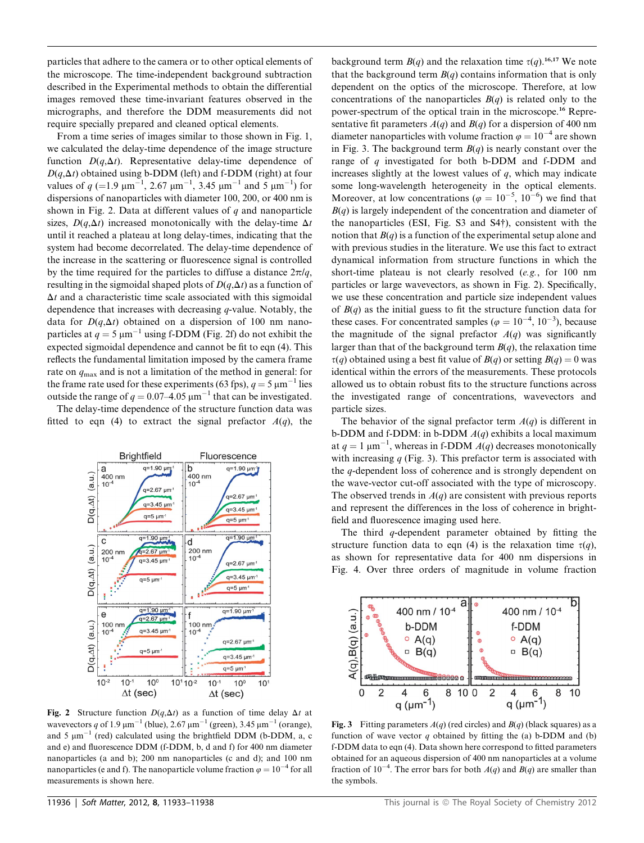particles that adhere to the camera or to other optical elements of the microscope. The time-independent background subtraction described in the Experimental methods to obtain the differential images removed these time-invariant features observed in the micrographs, and therefore the DDM measurements did not require specially prepared and cleaned optical elements.

From a time series of images similar to those shown in Fig. 1, we calculated the delay-time dependence of the image structure function  $D(q, \Delta t)$ . Representative delay-time dependence of  $D(q,\Delta t)$  obtained using b-DDM (left) and f-DDM (right) at four values of  $q (=1.9 \text{ }\mu\text{m}^{-1}, 2.67 \text{ }\mu\text{m}^{-1}, 3.45 \text{ }\mu\text{m}^{-1} \text{ and } 5 \text{ }\mu\text{m}^{-1})$  for dispersions of nanoparticles with diameter 100, 200, or 400 nm is shown in Fig. 2. Data at different values of  $q$  and nanoparticle sizes,  $D(q, \Delta t)$  increased monotonically with the delay-time  $\Delta t$ until it reached a plateau at long delay-times, indicating that the system had become decorrelated. The delay-time dependence of the increase in the scattering or fluorescence signal is controlled by the time required for the particles to diffuse a distance  $2\pi/q$ , resulting in the sigmoidal shaped plots of  $D(q,\Delta t)$  as a function of  $\Delta t$  and a characteristic time scale associated with this sigmoidal dependence that increases with decreasing  $q$ -value. Notably, the data for  $D(q,\Delta t)$  obtained on a dispersion of 100 nm nanoparticles at  $q = 5 \mu m^{-1}$  using f-DDM (Fig. 2f) do not exhibit the expected sigmoidal dependence and cannot be fit to eqn (4). This reflects the fundamental limitation imposed by the camera frame rate on  $q_{\text{max}}$  and is not a limitation of the method in general: for the frame rate used for these experiments (63 fps),  $q = 5 \,\text{\mu m}^{-1}$  lies outside the range of  $q = 0.07-4.05 \,\text{µm}^{-1}$  that can be investigated.

The delay-time dependence of the structure function data was fitted to eqn (4) to extract the signal prefactor  $A(q)$ , the



Fig. 2 Structure function  $D(q,\Delta t)$  as a function of time delay  $\Delta t$  at wavevectors q of 1.9  $\mu$ m<sup>-1</sup> (blue), 2.67  $\mu$ m<sup>-1</sup> (green), 3.45  $\mu$ m<sup>-1</sup> (orange), and 5  $\mu$ m<sup>-1</sup> (red) calculated using the brightfield DDM (b-DDM, a, c and e) and fluorescence DDM (f-DDM, b, d and f) for 400 nm diameter nanoparticles (a and b); 200 nm nanoparticles (c and d); and 100 nm nanoparticles (e and f). The nanoparticle volume fraction  $\varphi = 10^{-4}$  for all measurements is shown here.

background term  $B(q)$  and the relaxation time  $\tau(q)$ .<sup>16,17</sup> We note that the background term  $B(q)$  contains information that is only dependent on the optics of the microscope. Therefore, at low concentrations of the nanoparticles  $B(q)$  is related only to the power-spectrum of the optical train in the microscope.<sup>16</sup> Representative fit parameters  $A(q)$  and  $B(q)$  for a dispersion of 400 nm diameter nanoparticles with volume fraction  $\varphi = 10^{-4}$  are shown in Fig. 3. The background term  $B(a)$  is nearly constant over the range of  $q$  investigated for both b-DDM and f-DDM and increases slightly at the lowest values of  $q$ , which may indicate some long-wavelength heterogeneity in the optical elements. Moreover, at low concentrations ( $\varphi = 10^{-5}$ ,  $10^{-6}$ ) we find that  $B(q)$  is largely independent of the concentration and diameter of the nanoparticles (ESI, Fig. S3 and S4†), consistent with the notion that  $B(q)$  is a function of the experimental setup alone and with previous studies in the literature. We use this fact to extract dynamical information from structure functions in which the short-time plateau is not clearly resolved (e.g., for 100 nm particles or large wavevectors, as shown in Fig. 2). Specifically, we use these concentration and particle size independent values of  $B(q)$  as the initial guess to fit the structure function data for these cases. For concentrated samples ( $\varphi = 10^{-4}$ ,  $10^{-3}$ ), because the magnitude of the signal prefactor  $A(q)$  was significantly larger than that of the background term  $B(q)$ , the relaxation time  $\tau(q)$  obtained using a best fit value of  $B(q)$  or setting  $B(q) = 0$  was identical within the errors of the measurements. These protocols allowed us to obtain robust fits to the structure functions across the investigated range of concentrations, wavevectors and particle sizes.

The behavior of the signal prefactor term  $A(q)$  is different in b-DDM and f-DDM: in b-DDM  $A(q)$  exhibits a local maximum at  $q = 1 \mu m^{-1}$ , whereas in f-DDM  $A(q)$  decreases monotonically with increasing  $q$  (Fig. 3). This prefactor term is associated with the q-dependent loss of coherence and is strongly dependent on the wave-vector cut-off associated with the type of microscopy. The observed trends in  $A(q)$  are consistent with previous reports and represent the differences in the loss of coherence in brightfield and fluorescence imaging used here.

The third  $q$ -dependent parameter obtained by fitting the structure function data to eqn (4) is the relaxation time  $\tau(q)$ , as shown for representative data for 400 nm dispersions in Fig. 4. Over three orders of magnitude in volume fraction



**Fig. 3** Fitting parameters  $A(q)$  (red circles) and  $B(q)$  (black squares) as a function of wave vector  $q$  obtained by fitting the (a) b-DDM and (b) f-DDM data to eqn (4). Data shown here correspond to fitted parameters obtained for an aqueous dispersion of 400 nm nanoparticles at a volume fraction of  $10^{-4}$ . The error bars for both  $A(q)$  and  $B(q)$  are smaller than the symbols.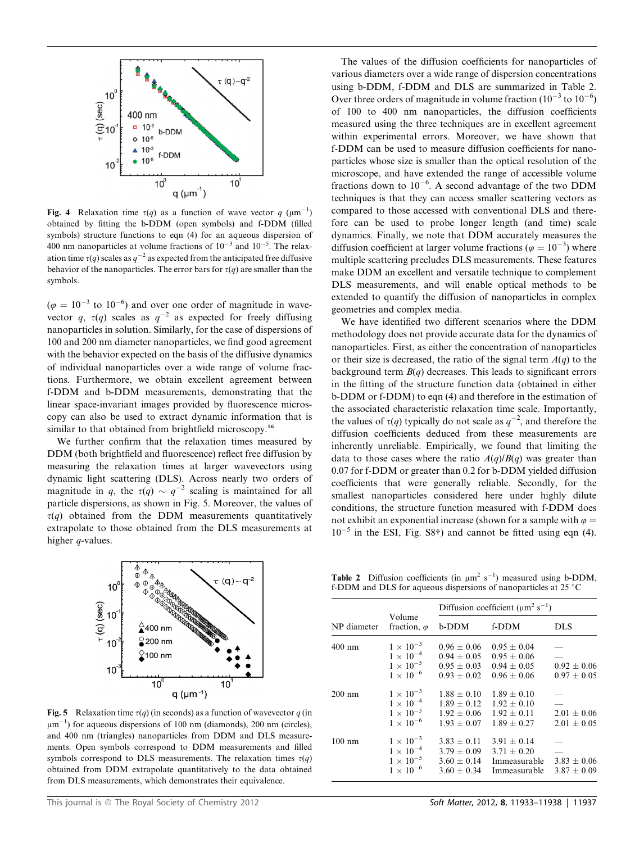

Fig. 4 Relaxation time  $\tau(q)$  as a function of wave vector q ( $\mu$ m<sup>-1</sup>) obtained by fitting the b-DDM (open symbols) and f-DDM (filled symbols) structure functions to eqn (4) for an aqueous dispersion of 400 nm nanoparticles at volume fractions of  $10^{-3}$  and  $10^{-5}$ . The relaxation time  $\tau(q)$  scales as  $q^{-2}$  as expected from the anticipated free diffusive behavior of the nanoparticles. The error bars for  $\tau(q)$  are smaller than the symbols.

 $(\varphi = 10^{-3} \text{ to } 10^{-6})$  and over one order of magnitude in wavevector q,  $\tau(q)$  scales as  $q^{-2}$  as expected for freely diffusing nanoparticles in solution. Similarly, for the case of dispersions of 100 and 200 nm diameter nanoparticles, we find good agreement with the behavior expected on the basis of the diffusive dynamics of individual nanoparticles over a wide range of volume fractions. Furthermore, we obtain excellent agreement between f-DDM and b-DDM measurements, demonstrating that the linear space-invariant images provided by fluorescence microscopy can also be used to extract dynamic information that is similar to that obtained from brightfield microscopy.<sup>16</sup>

We further confirm that the relaxation times measured by DDM (both brightfield and fluorescence) reflect free diffusion by measuring the relaxation times at larger wavevectors using dynamic light scattering (DLS). Across nearly two orders of magnitude in q, the  $\tau(q) \sim q^{-2}$  scaling is maintained for all particle dispersions, as shown in Fig. 5. Moreover, the values of  $\tau(q)$  obtained from the DDM measurements quantitatively extrapolate to those obtained from the DLS measurements at higher q-values.



**Fig. 5** Relaxation time  $\tau(q)$  (in seconds) as a function of wavevector q (in  $\mu$ m<sup>-1</sup>) for aqueous dispersions of 100 nm (diamonds), 200 nm (circles), and 400 nm (triangles) nanoparticles from DDM and DLS measurements. Open symbols correspond to DDM measurements and filled symbols correspond to DLS measurements. The relaxation times  $\tau(q)$ obtained from DDM extrapolate quantitatively to the data obtained from DLS measurements, which demonstrates their equivalence.

The values of the diffusion coefficients for nanoparticles of various diameters over a wide range of dispersion concentrations using b-DDM, f-DDM and DLS are summarized in Table 2. Over three orders of magnitude in volume fraction  $(10^{-3}$  to  $10^{-6})$ of 100 to 400 nm nanoparticles, the diffusion coefficients measured using the three techniques are in excellent agreement within experimental errors. Moreover, we have shown that f-DDM can be used to measure diffusion coefficients for nanoparticles whose size is smaller than the optical resolution of the microscope, and have extended the range of accessible volume fractions down to  $10^{-6}$ . A second advantage of the two DDM techniques is that they can access smaller scattering vectors as compared to those accessed with conventional DLS and therefore can be used to probe longer length (and time) scale dynamics. Finally, we note that DDM accurately measures the diffusion coefficient at larger volume fractions ( $\varphi = 10^{-3}$ ) where multiple scattering precludes DLS measurements. These features make DDM an excellent and versatile technique to complement DLS measurements, and will enable optical methods to be extended to quantify the diffusion of nanoparticles in complex geometries and complex media.

We have identified two different scenarios where the DDM methodology does not provide accurate data for the dynamics of nanoparticles. First, as either the concentration of nanoparticles or their size is decreased, the ratio of the signal term  $A(q)$  to the background term  $B(q)$  decreases. This leads to significant errors in the fitting of the structure function data (obtained in either b-DDM or f-DDM) to eqn (4) and therefore in the estimation of the associated characteristic relaxation time scale. Importantly, the values of  $\tau(q)$  typically do not scale as  $q^{-2}$ , and therefore the diffusion coefficients deduced from these measurements are inherently unreliable. Empirically, we found that limiting the data to those cases where the ratio  $A(q)/B(q)$  was greater than 0.07 for f-DDM or greater than 0.2 for b-DDM yielded diffusion coefficients that were generally reliable. Secondly, for the smallest nanoparticles considered here under highly dilute conditions, the structure function measured with f-DDM does not exhibit an exponential increase (shown for a sample with  $\varphi =$  $10^{-5}$  in the ESI, Fig. S8†) and cannot be fitted using eqn (4).

Table 2 Diffusion coefficients (in  $\mu$ m<sup>2</sup> s<sup>-1</sup>) measured using b-DDM, f-DDM and DLS for aqueous dispersions of nanoparticles at 25 "C

| NP diameter      | Volume<br>fraction, $\varphi$                                                        | Diffusion coefficient ( $\mu$ m <sup>2</sup> s <sup>-1</sup> )       |                                                                    |                                    |
|------------------|--------------------------------------------------------------------------------------|----------------------------------------------------------------------|--------------------------------------------------------------------|------------------------------------|
|                  |                                                                                      | b-DDM                                                                | f-DDM                                                              | <b>DLS</b>                         |
| $400$ nm         | $1 \times 10^{-3}$<br>$1 \times 10^{-4}$<br>$1 \times 10^{-5}$<br>$1 \times 10^{-6}$ | $0.96 + 0.06$<br>$0.94 + 0.05$<br>$0.95 + 0.03$<br>$0.93 + 0.02$     | $0.95 + 0.04$<br>$0.95 + 0.06$<br>$0.94 + 0.05$<br>$0.96 + 0.06$   | $0.92 \pm 0.06$<br>$0.97 + 0.05$   |
| $200$ nm         | $1 \times 10^{-3}$<br>$1 \times 10^{-4}$<br>$1 \times 10^{-5}$<br>$1 \times 10^{-6}$ | $1.88 + 0.10$<br>$1.89 + 0.12$<br>$1.92 + 0.06$<br>$1.93 + 0.07$     | $1.89 \pm 0.10$<br>$1.92 + 0.10$<br>$1.92 + 0.11$<br>$1.89 + 0.27$ | $2.01 \pm 0.06$<br>$2.01 \pm 0.05$ |
| $100 \text{ nm}$ | $1 \times 10^{-3}$<br>$1 \times 10^{-4}$<br>$1 \times 10^{-5}$<br>$1 \times 10^{-6}$ | $3.83 + 0.11$<br>$3.79 \pm 0.09$<br>$3.60 + 0.14$<br>$3.60 \pm 0.34$ | $3.91 + 0.14$<br>$3.71 + 0.20$<br>Immeasurable<br>Immeasurable     | $3.83 \pm 0.06$<br>$3.87 \pm 0.09$ |